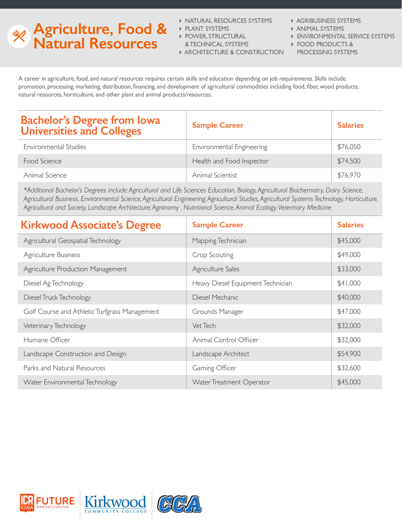## **Agriculture, Food & Natural Resources**

- **NATURAL RESOURCES SYSTEMS**
- **PLANT SYSTEMS**
- **POWER, STRUCTURAL** 
	- & TECHNICAL SYSTEMS
- ARCHITECTURE & CONSTRUCTION
- **AGRIBUSINESS SYSTEMS**
- ANIMAL SYSTEMS
- ENVIRONMENTAL SERVICE SYSTEMS
- FOOD PRODUCTS &
	- PROCESSING SYSTEMS

A career in agriculture, food, and natural resources requires certain skills and education depending on job requirements. Skills include promotion, processing, marketing, distribution, financing, and development of agricultural commodities including food, fiber, wood products, natural resources, horticulture, and other plant and animal products/resources.

| <b>Bachelor's Degree from Iowa</b><br><b>Universities and Colleges</b> | <b>Sample Career</b>      | <b>Salaries</b> |
|------------------------------------------------------------------------|---------------------------|-----------------|
| Environmental Studies                                                  | Environmental Engineering | \$76,050        |
| Food Science                                                           | Health and Food Inspector | \$74,500        |
| Animal Science                                                         | Animal Scientist          | \$76,970        |

*\*Additional Bachelor's Degrees include: Agricultural and Life Sciences Education, Biology, Agricultural Biochemistry, Dairy Science, Agricultural Business, Environmental Science, Agricultural Engineering, Agricultural Studies, Agricultural Systems Technology, Horticulture, Agricultural and Society, Landscape Architecture, Agronomy , Nutritional Science, Animal Ecology, Veterinary Medicine*

| <b>Kirkwood Associate's Degree</b>            | <b>Sample Career</b>              | <b>Salaries</b> |
|-----------------------------------------------|-----------------------------------|-----------------|
| Agricultural Geospatial Technology            | Mapping Technician                | \$45,000        |
| Agriculture Business                          | Crop Scouting                     | \$49,000        |
| Agriculture Production Management             | Agriculture Sales                 | \$33,000        |
| Diesel Ag Technology                          | Heavy Diesel Equipment Technician | \$41,000        |
| Diesel Truck Technology                       | Diesel Mechanic                   | \$40,000        |
| Golf Course and Athletic Turfgrass Management | Grounds Manager                   | \$47,000        |
| Veterinary Technology                         | Vet Tech                          | \$32,000        |
| Humane Officer                                | Animal Control Officer            | \$32,000        |
| Landscape Construction and Design             | Landscape Architect               | \$54,900        |
| Parks and Natural Resources                   | Gaming Officer                    | \$32,600        |
| Water Environmental Technology                | Water Treatment Operator          | \$45,000        |